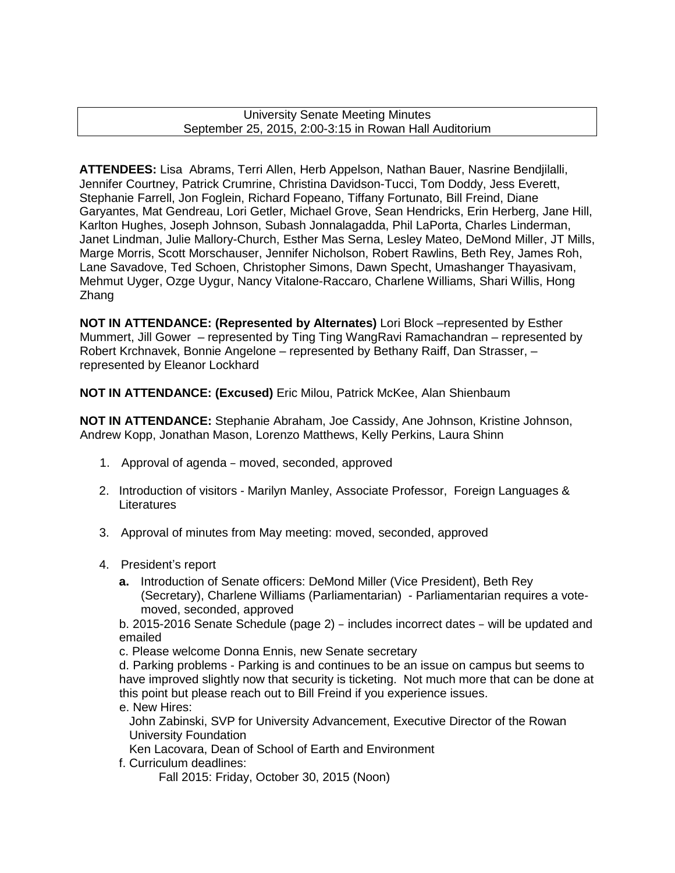University Senate Meeting Minutes September 25, 2015, 2:00-3:15 in Rowan Hall Auditorium

**ATTENDEES:** Lisa Abrams, Terri Allen, Herb Appelson, Nathan Bauer, Nasrine Bendjilalli, Jennifer Courtney, Patrick Crumrine, Christina Davidson-Tucci, Tom Doddy, Jess Everett, Stephanie Farrell, Jon Foglein, Richard Fopeano, Tiffany Fortunato, Bill Freind, Diane Garyantes, Mat Gendreau, Lori Getler, Michael Grove, Sean Hendricks, Erin Herberg, Jane Hill, Karlton Hughes, Joseph Johnson, Subash Jonnalagadda, Phil LaPorta, Charles Linderman, Janet Lindman, Julie Mallory-Church, Esther Mas Serna, Lesley Mateo, DeMond Miller, JT Mills, Marge Morris, Scott Morschauser, Jennifer Nicholson, Robert Rawlins, Beth Rey, James Roh, Lane Savadove, Ted Schoen, Christopher Simons, Dawn Specht, Umashanger Thayasivam, Mehmut Uyger, Ozge Uygur, Nancy Vitalone-Raccaro, Charlene Williams, Shari Willis, Hong Zhang

**NOT IN ATTENDANCE: (Represented by Alternates)** Lori Block –represented by Esther Mummert, Jill Gower – represented by Ting Ting WangRavi Ramachandran – represented by Robert Krchnavek, Bonnie Angelone – represented by Bethany Raiff, Dan Strasser, – represented by Eleanor Lockhard

**NOT IN ATTENDANCE: (Excused)** Eric Milou, Patrick McKee, Alan Shienbaum

**NOT IN ATTENDANCE:** Stephanie Abraham, Joe Cassidy, Ane Johnson, Kristine Johnson, Andrew Kopp, Jonathan Mason, Lorenzo Matthews, Kelly Perkins, Laura Shinn

- 1. Approval of agenda moved, seconded, approved
- 2. Introduction of visitors Marilyn Manley, Associate Professor, Foreign Languages & **Literatures**
- 3. Approval of minutes from May meeting: moved, seconded, approved
- 4. President's report
	- **a.** Introduction of Senate officers: DeMond Miller (Vice President), Beth Rey (Secretary), Charlene Williams (Parliamentarian) - Parliamentarian requires a votemoved, seconded, approved

b. 2015-2016 Senate Schedule (page 2) – includes incorrect dates – will be updated and emailed

c. Please welcome Donna Ennis, new Senate secretary

d. Parking problems - Parking is and continues to be an issue on campus but seems to have improved slightly now that security is ticketing. Not much more that can be done at this point but please reach out to Bill Freind if you experience issues.

## e. New Hires:

 John Zabinski, SVP for University Advancement, Executive Director of the Rowan University Foundation

Ken Lacovara, Dean of School of Earth and Environment

f. Curriculum deadlines:

Fall 2015: Friday, October 30, 2015 (Noon)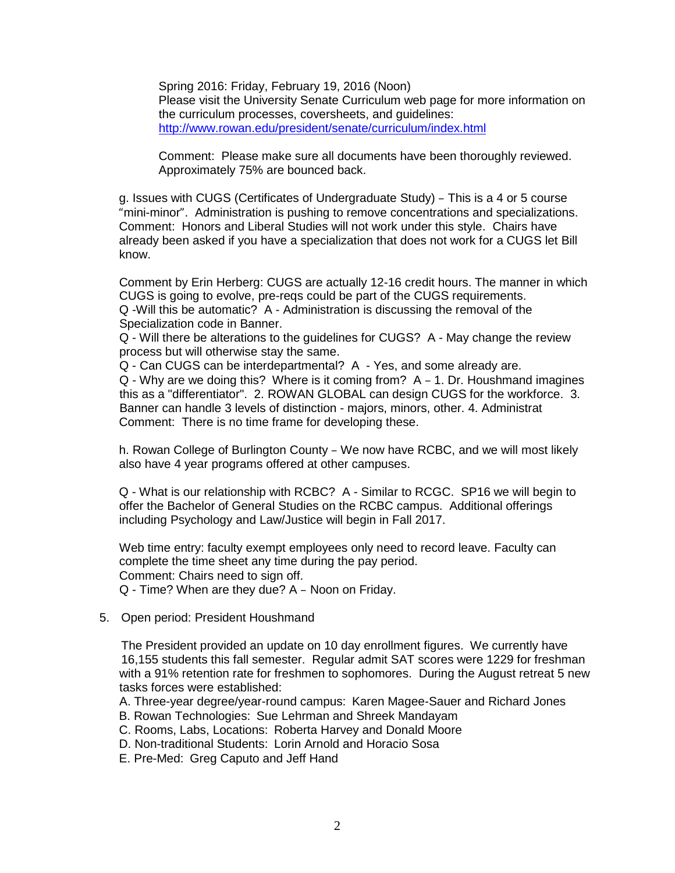Spring 2016: Friday, February 19, 2016 (Noon) Please visit the University Senate Curriculum web page for more information on the curriculum processes, coversheets, and guidelines: <http://www.rowan.edu/president/senate/curriculum/index.html>

Comment: Please make sure all documents have been thoroughly reviewed. Approximately 75% are bounced back.

g. Issues with CUGS (Certificates of Undergraduate Study) – This is a 4 or 5 course "mini-minor". Administration is pushing to remove concentrations and specializations. Comment: Honors and Liberal Studies will not work under this style. Chairs have already been asked if you have a specialization that does not work for a CUGS let Bill know.

Comment by Erin Herberg: CUGS are actually 12-16 credit hours. The manner in which CUGS is going to evolve, pre-reqs could be part of the CUGS requirements. Q -Will this be automatic? A - Administration is discussing the removal of the Specialization code in Banner.

Q - Will there be alterations to the guidelines for CUGS? A - May change the review process but will otherwise stay the same.

Q - Can CUGS can be interdepartmental? A - Yes, and some already are.

Q - Why are we doing this? Where is it coming from? A – 1. Dr. Houshmand imagines this as a "differentiator". 2. ROWAN GLOBAL can design CUGS for the workforce. 3. Banner can handle 3 levels of distinction - majors, minors, other. 4. Administrat Comment: There is no time frame for developing these.

h. Rowan College of Burlington County – We now have RCBC, and we will most likely also have 4 year programs offered at other campuses.

Q - What is our relationship with RCBC? A - Similar to RCGC. SP16 we will begin to offer the Bachelor of General Studies on the RCBC campus. Additional offerings including Psychology and Law/Justice will begin in Fall 2017.

Web time entry: faculty exempt employees only need to record leave. Faculty can complete the time sheet any time during the pay period. Comment: Chairs need to sign off. Q - Time? When are they due? A – Noon on Friday.

5. Open period: President Houshmand

The President provided an update on 10 day enrollment figures. We currently have 16,155 students this fall semester. Regular admit SAT scores were 1229 for freshman with a 91% retention rate for freshmen to sophomores. During the August retreat 5 new tasks forces were established:

A. Three-year degree/year-round campus: Karen Magee-Sauer and Richard Jones

- B. Rowan Technologies: Sue Lehrman and Shreek Mandayam
- C. Rooms, Labs, Locations: Roberta Harvey and Donald Moore
- D. Non-traditional Students: Lorin Arnold and Horacio Sosa
- E. Pre-Med: Greg Caputo and Jeff Hand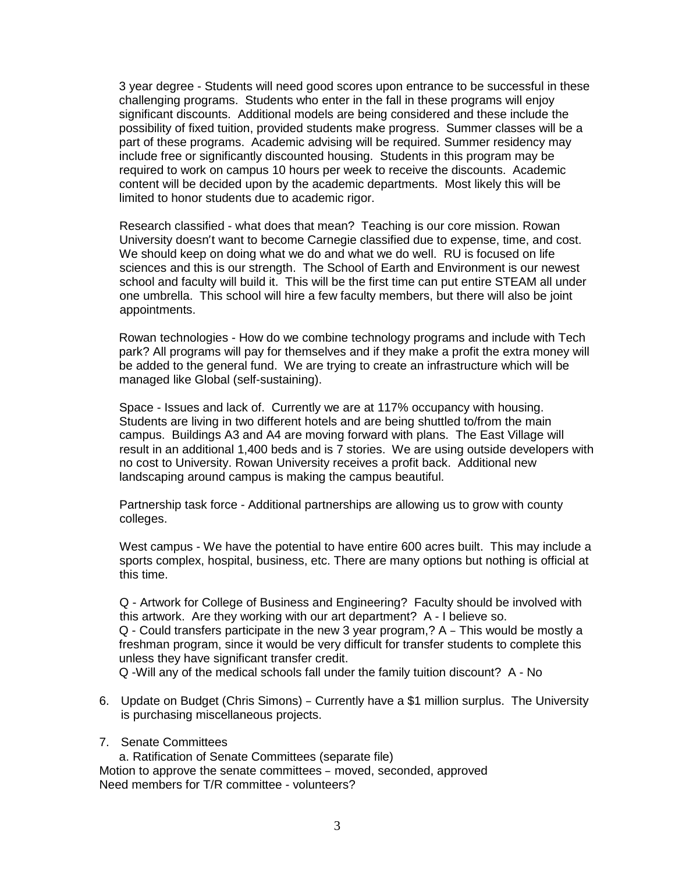3 year degree - Students will need good scores upon entrance to be successful in these challenging programs. Students who enter in the fall in these programs will enjoy significant discounts. Additional models are being considered and these include the possibility of fixed tuition, provided students make progress. Summer classes will be a part of these programs. Academic advising will be required. Summer residency may include free or significantly discounted housing. Students in this program may be required to work on campus 10 hours per week to receive the discounts. Academic content will be decided upon by the academic departments. Most likely this will be limited to honor students due to academic rigor.

Research classified - what does that mean? Teaching is our core mission. Rowan University doesn't want to become Carnegie classified due to expense, time, and cost. We should keep on doing what we do and what we do well. RU is focused on life sciences and this is our strength. The School of Earth and Environment is our newest school and faculty will build it. This will be the first time can put entire STEAM all under one umbrella. This school will hire a few faculty members, but there will also be joint appointments.

Rowan technologies - How do we combine technology programs and include with Tech park? All programs will pay for themselves and if they make a profit the extra money will be added to the general fund. We are trying to create an infrastructure which will be managed like Global (self-sustaining).

Space - Issues and lack of. Currently we are at 117% occupancy with housing. Students are living in two different hotels and are being shuttled to/from the main campus. Buildings A3 and A4 are moving forward with plans. The East Village will result in an additional 1,400 beds and is 7 stories. We are using outside developers with no cost to University. Rowan University receives a profit back. Additional new landscaping around campus is making the campus beautiful.

Partnership task force - Additional partnerships are allowing us to grow with county colleges.

West campus - We have the potential to have entire 600 acres built. This may include a sports complex, hospital, business, etc. There are many options but nothing is official at this time.

Q - Artwork for College of Business and Engineering? Faculty should be involved with this artwork. Are they working with our art department? A - I believe so. Q - Could transfers participate in the new 3 year program,? A – This would be mostly a freshman program, since it would be very difficult for transfer students to complete this unless they have significant transfer credit.

Q -Will any of the medical schools fall under the family tuition discount? A - No

6. Update on Budget (Chris Simons) – Currently have a \$1 million surplus. The University is purchasing miscellaneous projects.

## 7. Senate Committees

a. Ratification of Senate Committees (separate file) Motion to approve the senate committees – moved, seconded, approved Need members for T/R committee - volunteers?